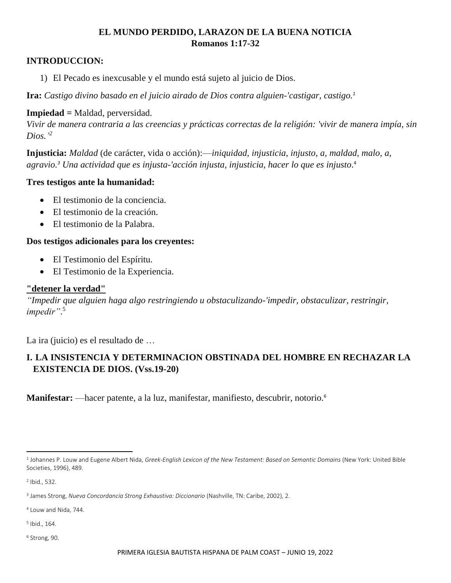# **EL MUNDO PERDIDO, LARAZON DE LA BUENA NOTICIA Romanos 1:17-32**

## **INTRODUCCION:**

1) El Pecado es inexcusable y el mundo está sujeto al juicio de Dios.

**Ira:** *Castigo divino basado en el juicio airado de Dios contra alguien-'castigar, castigo.<sup>1</sup>*

#### **Impiedad =** Maldad, perversidad.

*Vivir de manera contraria a las creencias y prácticas correctas de la religión: 'vivir de manera impía, sin Dios.' 2*

**Injusticia:** *Maldad* (de carácter, vida o acción):—*iniquidad, injusticia, injusto, a, maldad, malo, a, agravio.<sup>3</sup> Una actividad que es injusta-'acción injusta, injusticia, hacer lo que es injusto*. 4

#### **Tres testigos ante la humanidad:**

- El testimonio de la conciencia.
- El testimonio de la creación.
- El testimonio de la Palabra.

#### **Dos testigos adicionales para los creyentes:**

- El Testimonio del Espíritu.
- El Testimonio de la Experiencia.

### **"detener la verdad"**

*"Impedir que alguien haga algo restringiendo u obstaculizando-'impedir, obstaculizar, restringir, impedir"*. 5

La ira (juicio) es el resultado de …

# **I. LA INSISTENCIA Y DETERMINACION OBSTINADA DEL HOMBRE EN RECHAZAR LA EXISTENCIA DE DIOS. (Vss.19-20)**

**Manifestar:** —hacer patente, a la luz, manifestar, manifiesto, descubrir, notorio.<sup>6</sup>

2 Ibid., 532.

<sup>4</sup> Louw and Nida, 744.

5 Ibid., 164.

<sup>6</sup> Strong, 90.

<sup>1</sup> Johannes P. Louw and Eugene Albert Nida, *[Greek-English Lexicon of the New Testament: Based on Semantic Domains](https://ref.ly/logosres/louwnida?ref=LouwNida.38.10&off=22&ctx=.10+%CE%BF%CC%93%CF%81%CE%B3%CE%B7%CC%81b%2c+%CE%B7%CD%82%CF%82+f%3a+~divine+punishment+ba)* (New York: United Bible Societies, 1996), 489.

<sup>3</sup> James Strong, *[Nueva Concordancia Strong Exhaustiva: Diccionario](https://ref.ly/logosres/strdictes?ref=GreekStrongs.93&off=93&ctx=mpl.+el+acto)%3b+mor.+~maldad+(de+car%C3%A1cter%2c)* (Nashville, TN: Caribe, 2002), 2.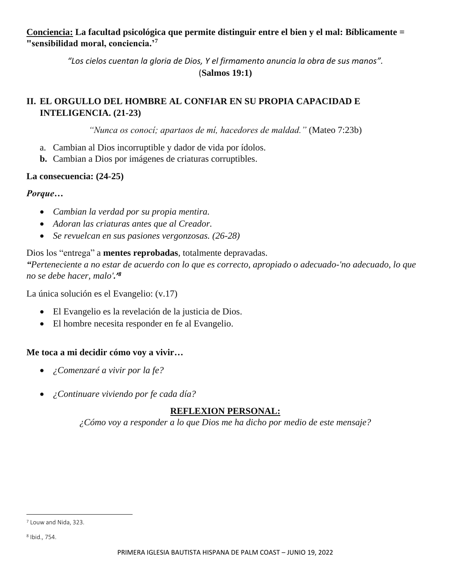**Conciencia: La facultad psicológica que permite distinguir entre el bien y el mal: Bíblicamente = "sensibilidad moral, conciencia.'<sup>7</sup>**

> *"Los cielos cuentan la gloria de Dios, Y el firmamento anuncia la obra de sus manos".* (**Salmos 19:1)**

# **II. EL ORGULLO DEL HOMBRE AL CONFIAR EN SU PROPIA CAPACIDAD E INTELIGENCIA. (21-23)**

*"Nunca os conocí; apartaos de mí, hacedores de maldad."* (Mateo 7:23b)

- a. Cambian al Dios incorruptible y dador de vida por ídolos.
- **b.** Cambian a Dios por imágenes de criaturas corruptibles.

## **La consecuencia: (24-25)**

## *Porque…*

- *Cambian la verdad por su propia mentira.*
- *Adoran las criaturas antes que al Creador.*
- *Se revuelcan en sus pasiones vergonzosas. (26-28)*

# Dios los "entrega" a **mentes reprobadas**, totalmente depravadas.

*"Perteneciente a no estar de acuerdo con lo que es correcto, apropiado o adecuado-'no adecuado, lo que no se debe hacer, malo'.'<sup>8</sup>*

La única solución es el Evangelio: (v.17)

- El Evangelio es la revelación de la justicia de Dios.
- El hombre necesita responder en fe al Evangelio.

# **Me toca a mi decidir cómo voy a vivir…**

- *¿Comenzaré a vivir por la fe?*
- *¿Continuare viviendo por fe cada día?*

# **REFLEXION PERSONAL:**

*¿Cómo voy a responder a lo que Dios me ha dicho por medio de este mensaje?*

<sup>7</sup> Louw and Nida, 323.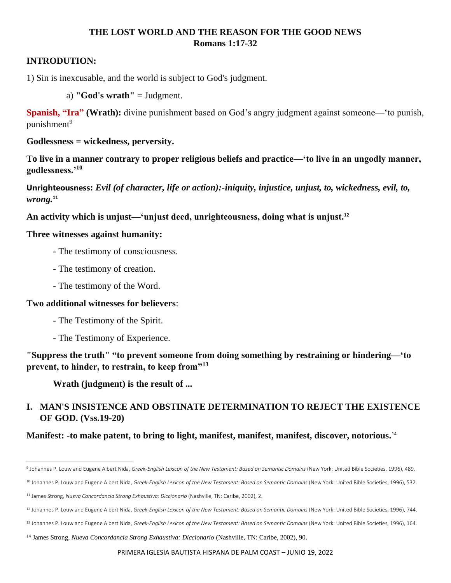# **THE LOST WORLD AND THE REASON FOR THE GOOD NEWS Romans 1:17-32**

### **INTRODUTION:**

1) Sin is inexcusable, and the world is subject to God's judgment.

a) **"God's wrath"** = Judgment.

**Spanish, "Ira" (Wrath):** divine punishment based on God's angry judgment against someone—'to punish,  $p$ unishment<sup>9</sup>

**Godlessness = wickedness, perversity.**

**To live in a manner contrary to proper religious beliefs and practice—'to live in an ungodly manner, godlessness.'<sup>10</sup>**

**Unrighteousness:** *Evil (of character, life or action):-iniquity, injustice, unjust, to, wickedness, evil, to, wrong.***<sup>11</sup>**

**An activity which is unjust—'unjust deed, unrighteousness, doing what is unjust.<sup>12</sup>**

## **Three witnesses against humanity:**

- The testimony of consciousness.
- The testimony of creation.
- The testimony of the Word.

#### **Two additional witnesses for believers**:

- The Testimony of the Spirit.
- The Testimony of Experience.

**"Suppress the truth" "to prevent someone from doing something by restraining or hindering—'to prevent, to hinder, to restrain, to keep from"<sup>13</sup>**

**Wrath (judgment) is the result of ...**

# **I. MAN'S INSISTENCE AND OBSTINATE DETERMINATION TO REJECT THE EXISTENCE OF GOD. (Vss.19-20)**

**Manifest: -to make patent, to bring to light, manifest, manifest, manifest, discover, notorious.**<sup>14</sup>

<sup>9</sup> Johannes P. Louw and Eugene Albert Nida, *[Greek-English Lexicon of the New Testament: Based on Semantic Domains](https://ref.ly/logosres/louwnida?ref=LouwNida.38.10&off=22&ctx=.10+%CE%BF%CC%93%CF%81%CE%B3%CE%B7%CC%81b%2c+%CE%B7%CD%82%CF%82+f%3a+~divine+punishment+ba)* (New York: United Bible Societies, 1996), 489.

<sup>10</sup> Johannes P. Louw and Eugene Albert Nida, *[Greek-English Lexicon of the New Testament: Based on Semantic Domains](https://ref.ly/logosres/louwnida?ref=LouwNida.53.10&off=33&ctx=%CF%89%3b+%CE%B1%CC%93%CF%83%CE%B5%CC%81%CE%B2%CE%B5%CE%B9%CE%B1%2c+%CE%B1%CF%82+f%3a+~to+live+in+a+manner+)* (New York: United Bible Societies, 1996), 532. <sup>11</sup> James Strong, *[Nueva Concordancia Strong Exhaustiva: Diccionario](https://ref.ly/logosres/strdictes?ref=GreekStrongs.93&off=93&ctx=mpl.+el+acto)%3b+mor.+~maldad+(de+car%C3%A1cter%2c)* (Nashville, TN: Caribe, 2002), 2.

<sup>&</sup>lt;sup>12</sup> Johannes P. Louw and Eugene Albert Nida, *[Greek-English Lexicon of the New Testament: Based on Semantic Domains](https://ref.ly/logosres/louwnida?ref=LouwNida.88.21&off=22&ctx=.21+%CE%B1%CC%93%CE%B4%CE%B9%CE%BA%CE%B9%CC%81%CE%B1%2c+%CE%B1%CF%82+f%3a+~an+activity+which+is)* (New York: United Bible Societies, 1996), 744.

<sup>13</sup> Johannes P. Louw and Eugene Albert Nida, *[Greek-English Lexicon of the New Testament: Based on Semantic Domains](https://ref.ly/logosres/louwnida?ref=LouwNida.13.150&off=17&ctx=13.150+%CE%BA%CE%B1%CF%84%CE%B5%CC%81%CF%87%CF%89a%3a+~to+prevent+someone+from)* (New York: United Bible Societies, 1996), 164.

<sup>14</sup> James Strong, *[Nueva Concordancia Strong Exhaustiva: Diccionario](https://ref.ly/logosres/strdictes?ref=GreekStrongs.5318&off=121&ctx=nte%2c+exteriormente.%3a~%E2%80%94hacer+patente%2c+a+la)* (Nashville, TN: Caribe, 2002), 90.